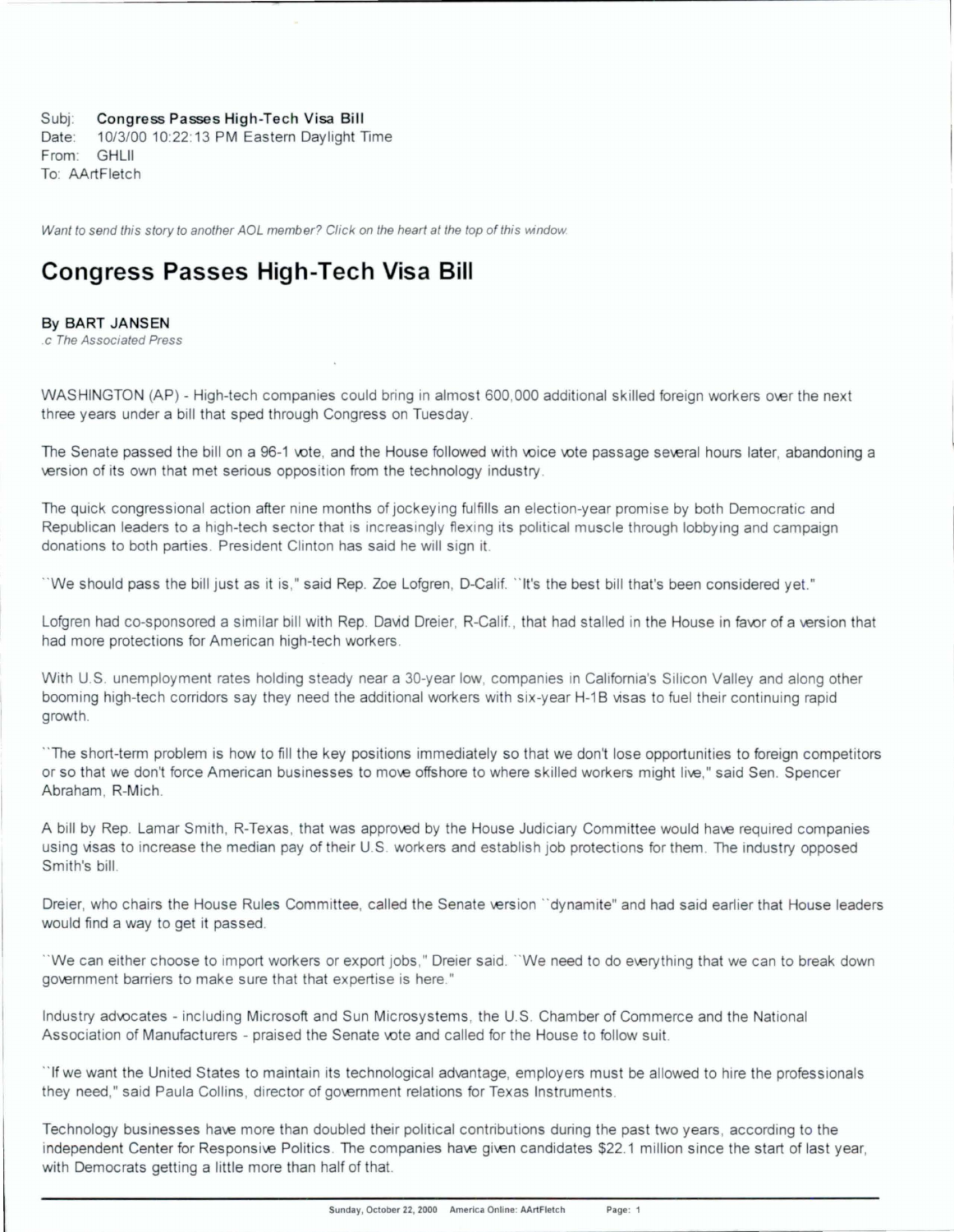Subj: Congress Passes High-Tech Visa Bill

Date: 10/3/00 10:22:13 PM Eastern Daylight Time From: GHLll To: AArtFletch

Want to send this story to another AOL member? Click on the heart at the top of this window.

## **Congress Passes High-Tech Visa Bill**

By BART JANSEN

c The Associated Press

WASHINGTON (AP) - High-tech companies could bring in almost 600,000 additional skilled foreign workers over the next three years under a bill that sped through Congress on Tuesday .

The Senate passed the bill on a 96-1 vote, and the House followed with voice vote passage several hours later, abandoning a version of its own that met serious opposition from the technology industry.

The quick congressional action after nine months of jockeying fulfills an election-year promise by both Democratic and Republican leaders to a high-tech sector that is increasingly flexing its political muscle through lobbying and campaign donations to both parties. President Clinton has said he will sign 1t.

" We should pass the bill just as it is," said Rep. Zoe Lofgren, D-Calif. " It's the best bill that's been considered yet."

Lofgren had co-sponsored a similar bill with Rep. David Dreier, R-Calif., that had stalled in the House in favor of a version that had more protections for American high-tech workers.

With U.S. unemployment rates holding steady near a 30-year low, companies in California's Silicon Valley and along other booming high-tech corridors say they need the additional workers with six-year H-1B visas to fuel their continuing rapid growth.

" The short-term problem is how to fill the key positions immediately so that we don't lose opportunities to foreign competitors or so that we don't force American businesses to move offshore to where skilled workers might live." said Sen. Spencer Abraham , R-Mich.

A bill by Rep. Lamar Smith, R-Texas, that was approved by the House Judiciary Committee would have required companies using visas to increase the median pay of heir U.S. workers and establish job protections for them . The industry opposed Smith's bill.

Dreier, who chairs the House Rules Committee, called the Senate version "dynamite" and had said earlier that House leaders would find a way to get it passed.

"We can either choose to import workers or export jobs," Dreier said. "We need to do everything that we can to break down government barriers to make sure that that expertise is here."

Industry advocates - including Microsoft and Sun Microsystems, the U.S. Chamber of Commerce and the National Association of Manufacturers - praised the Senate vote and called for the House to follow suit.

"If we want the United States to maintain its technological advantage, employers must be allowed to hire the professionals they need," said Paula Collins, director of government relations for Texas Instruments.

Technology businesses have more than doubled their political contributions during the past two years, according to the independent Center for Responsive Politics. The companies have given candidates \$22.1 million since the start of last year, with Democrats getting a little more than half of that.